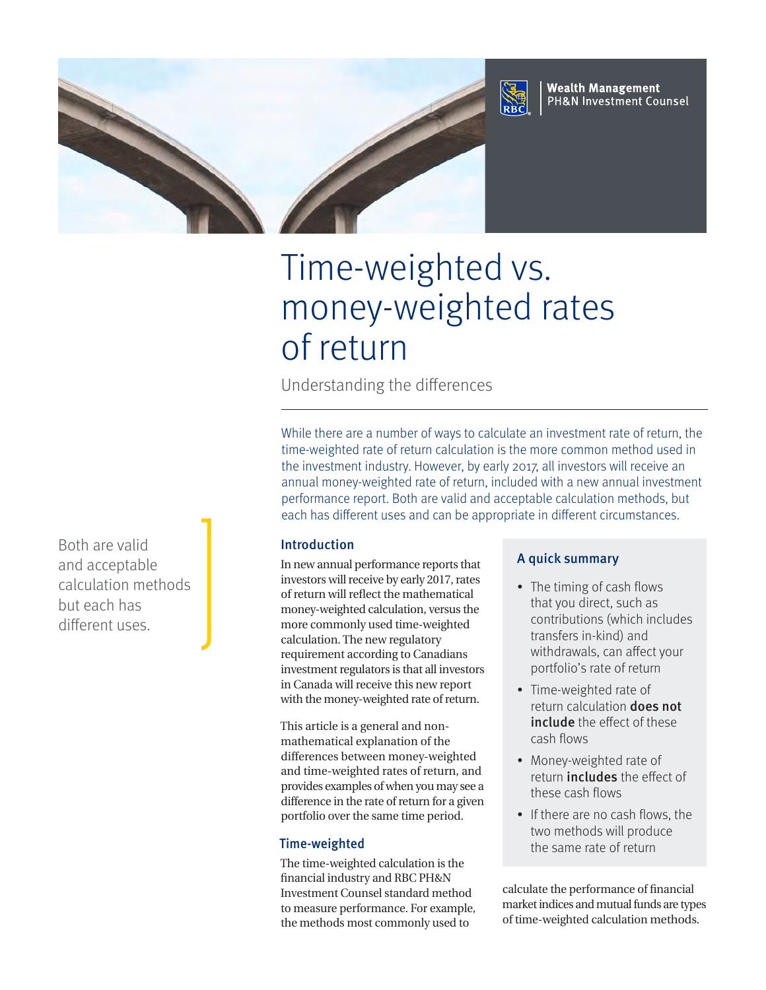

# Time-weighted vs. money-weighted rates of return

Understanding the differences

While there are a number of ways to calculate an investment rate of return, the time-weighted rate of return calculation is the more common method used in the investment industry. However, by early 2017, all investors will receive an annual money-weighted rate of return, included with a new annual investment performance report. Both are valid and acceptable calculation methods, but each has different uses and can be appropriate in different circumstances.

### Introduction

In new annual performance reports that investors will receive by early 2017, rates of return will reflect the mathematical money-weighted calculation, versus the more commonly used time-weighted calculation. The new regulatory requirement according to Canadians investment regulators is that all investors in Canada will receive this new report with the money-weighted rate of return.

This article is a general and nonmathematical explanation of the differences between money-weighted and time-weighted rates of return, and provides examples of when you may see a difference in the rate of return for a given portfolio over the same time period.

### Time-weighted

The time-weighted calculation is the financial industry and RBC PH&N Investment Counsel standard method to measure performance. For example, the methods most commonly used to

#### A quick summary

- The timing of cash flows that you direct, such as contributions (which includes transfers in-kind) and withdrawals, can affect your portfolio's rate of return
- Time-weighted rate of return calculation **does not** include the effect of these cash flows
- Money-weighted rate of return *includes* the effect of these cash flows
- If there are no cash flows, the two methods will produce the same rate of return

calculate the performance of financial market indices and mutual funds are types of time-weighted calculation methods.

Both are valid and acceptable calculation methods but each has different uses.